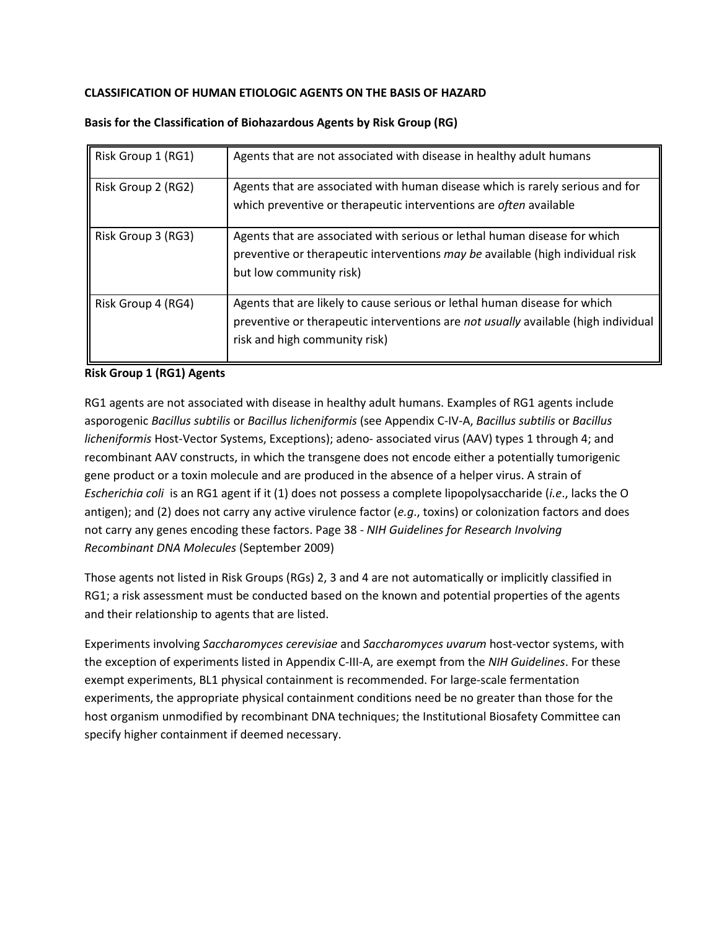# **CLASSIFICATION OF HUMAN ETIOLOGIC AGENTS ON THE BASIS OF HAZARD**

| Risk Group 1 (RG1) | Agents that are not associated with disease in healthy adult humans                                                                                                                              |
|--------------------|--------------------------------------------------------------------------------------------------------------------------------------------------------------------------------------------------|
| Risk Group 2 (RG2) | Agents that are associated with human disease which is rarely serious and for<br>which preventive or therapeutic interventions are often available                                               |
| Risk Group 3 (RG3) | Agents that are associated with serious or lethal human disease for which<br>preventive or therapeutic interventions may be available (high individual risk<br>but low community risk)           |
| Risk Group 4 (RG4) | Agents that are likely to cause serious or lethal human disease for which<br>preventive or therapeutic interventions are not usually available (high individual<br>risk and high community risk) |

## **Basis for the Classification of Biohazardous Agents by Risk Group (RG)**

### **Risk Group 1 (RG1) Agents**

RG1 agents are not associated with disease in healthy adult humans. Examples of RG1 agents include asporogenic *Bacillus subtilis* or *Bacillus licheniformis* (see Appendix C-IV-A, *Bacillus subtilis* or *Bacillus licheniformis* Host-Vector Systems, Exceptions); adeno- associated virus (AAV) types 1 through 4; and recombinant AAV constructs, in which the transgene does not encode either a potentially tumorigenic gene product or a toxin molecule and are produced in the absence of a helper virus. A strain of *Escherichia coli* is an RG1 agent if it (1) does not possess a complete lipopolysaccharide (*i.e*., lacks the O antigen); and (2) does not carry any active virulence factor (*e.g*., toxins) or colonization factors and does not carry any genes encoding these factors. Page 38 - *NIH Guidelines for Research Involving Recombinant DNA Molecules* (September 2009)

Those agents not listed in Risk Groups (RGs) 2, 3 and 4 are not automatically or implicitly classified in RG1; a risk assessment must be conducted based on the known and potential properties of the agents and their relationship to agents that are listed.

Experiments involving *Saccharomyces cerevisiae* and *Saccharomyces uvarum* host-vector systems, with the exception of experiments listed in Appendix C-III-A, are exempt from the *NIH Guidelines*. For these exempt experiments, BL1 physical containment is recommended. For large-scale fermentation experiments, the appropriate physical containment conditions need be no greater than those for the host organism unmodified by recombinant DNA techniques; the Institutional Biosafety Committee can specify higher containment if deemed necessary.